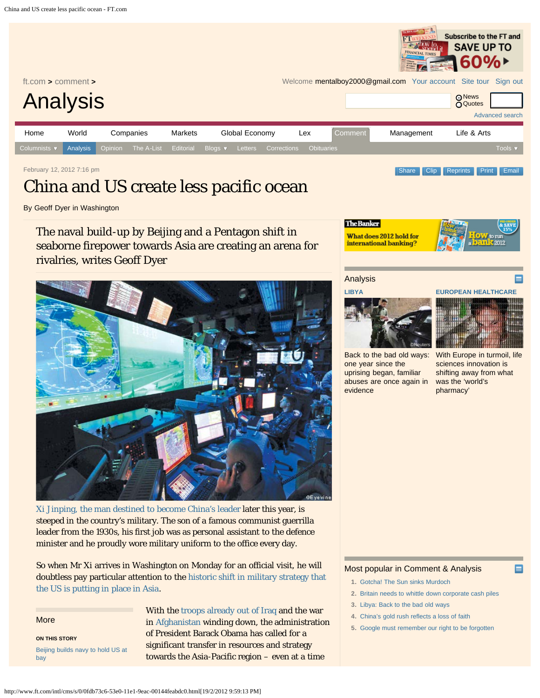<span id="page-0-0"></span>

February 12, 2012 7:16 pm [Clip](http://clippings.ft.com/clipthis/?url=http%3A%2F%2Fwww.ft.com%2Fcms%2Fs%2F0%2F0fdb73c6-53e0-11e1-9eac-00144feabdc0.html&title=China+and+US+create+less+pacific+ocean¬e=The+naval+build-up+by+Beijing+and+a+Pentagon+shift+in+seaborne+firepower+towards+Asia+are+creating+an+arena+for+rivalries%2C+writes+Geoff+Dyer&datepublished=2012-02-12+19%3A16%3A33&images=http%3A%2F%2Fim.media.ft.com%2Fcontent%2Fimages%2Fdd8fe7d0-55b5-11e1-9d95-00144feabdc0.img%2C) Clip [Reprints](http://storytools.ft.com/storyTools/reprintOrRepublish.html?uuid=0fdb73c6-53e0-11e1-9eac-00144feabdc0) [Print](#page-0-0) [Email](#page-0-0)

# China and US create less pacific ocean

By Geoff Dyer in Washington

The naval build-up by Beijing and a Pentagon shift in seaborne firepower towards Asia are creating an arena for rivalries, writes Geoff Dyer



[Xi Jinping, the man destined to become China's leader](http://www.ft.com/cms/s/0/a8f7effe-53d0-11e1-bacb-00144feabdc0.html) later this year, is steeped in the country's military. The son of a famous communist guerrilla leader from the 1930s, his first job was as personal assistant to the defence minister and he proudly wore military uniform to the office every day.

So when Mr Xi arrives in Washington on Monday for an official visit, he will doubtless pay particular attention to the [historic shift in military strategy that](http://www.ft.com/cms/s/0/f3663938-10d7-11e1-ad22-00144feabdc0.html) [the US is putting in place in Asia](http://www.ft.com/cms/s/0/f3663938-10d7-11e1-ad22-00144feabdc0.html).

More **ON THIS STORY** [Beijing builds navy to hold US at](http://www.ft.com/cms/s/0/aab96b50-232b-11e0-b6a3-00144feab49a.html) [bay](http://www.ft.com/cms/s/0/aab96b50-232b-11e0-b6a3-00144feab49a.html)

With the [troops already out of Iraq](http://www.ft.com/intl/cms/s/0/2e5fda48-268c-11e1-9ed3-00144feabdc0.html#axzz1mDXpvGxc) and the war in [Afghanistan](http://www.ft.com/intl/cms/s/0/5b85bb22-4d25-11e1-8741-00144feabdc0.html#axzz1mDXpvGxc) winding down, the administration of President Barack Obama has called for a significant transfer in resources and strategy towards the Asia-Pacific region – even at a time



Analysis



**[EUROPEAN HEALTHCARE](http://www.ft.com/cms/s/0/7ccc2608-57d5-11e1-ae89-00144feabdc0.html)**

Subscribe to the FT and



[Back to the bad old ways:](http://www.ft.com/cms/s/0/55f01408-5885-11e1-9f28-00144feabdc0.html) [one year since the](http://www.ft.com/cms/s/0/55f01408-5885-11e1-9f28-00144feabdc0.html) [uprising began, familiar](http://www.ft.com/cms/s/0/55f01408-5885-11e1-9f28-00144feabdc0.html) [abuses are once again in](http://www.ft.com/cms/s/0/55f01408-5885-11e1-9f28-00144feabdc0.html) [evidence](http://www.ft.com/cms/s/0/55f01408-5885-11e1-9f28-00144feabdc0.html)

[With Europe in turmoil, life](http://www.ft.com/cms/s/0/7ccc2608-57d5-11e1-ae89-00144feabdc0.html) [sciences innovation is](http://www.ft.com/cms/s/0/7ccc2608-57d5-11e1-ae89-00144feabdc0.html) [shifting away from what](http://www.ft.com/cms/s/0/7ccc2608-57d5-11e1-ae89-00144feabdc0.html) [was the 'world's](http://www.ft.com/cms/s/0/7ccc2608-57d5-11e1-ae89-00144feabdc0.html) [pharmacy'](http://www.ft.com/cms/s/0/7ccc2608-57d5-11e1-ae89-00144feabdc0.html)

Е

## Most popular in Comment & Analysis

- **1.** [Gotcha! The Sun sinks Murdoch](http://www.ft.com/intl/cms/s/0/8af3e45a-57da-11e1-b089-00144feabdc0.html#axzz1mV9tUq4o)
- **2.** [Britain needs to whittle down corporate cash piles](http://www.ft.com/intl/cms/s/0/695b13cc-57da-11e1-b089-00144feabdc0.html#axzz1mV9tUq4o)
- **3.** [Libya: Back to the bad old ways](http://www.ft.com/intl/cms/s/0/55f01408-5885-11e1-9f28-00144feabdc0.html#axzz1mV9tUq4o)
- **4.** [China's gold rush reflects a loss of faith](http://www.ft.com/intl/cms/s/0/c409f572-57da-11e1-b089-00144feabdc0.html#axzz1mV9tUq4o)
- **5.** [Google must remember our right to be forgotten](http://www.ft.com/intl/cms/s/0/476b9a08-572a-11e1-869b-00144feabdc0.html#axzz1mV9tUq4o)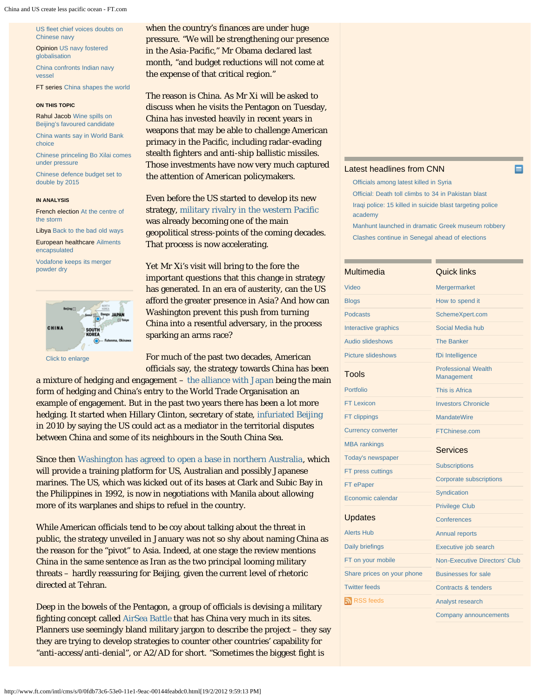[US fleet chief voices doubts on](http://www.ft.com/cms/s/0/288cd468-2331-11e0-b6a3-00144feab49a.html) [Chinese navy](http://www.ft.com/cms/s/0/288cd468-2331-11e0-b6a3-00144feab49a.html)

Opinion [US navy fostered](http://www.ft.com/cms/s/0/f9d59564-19b7-11e1-ba5d-00144feabdc0.html) [globalisation](http://www.ft.com/cms/s/0/f9d59564-19b7-11e1-ba5d-00144feabdc0.html)

[China confronts Indian navy](http://www.ft.com/cms/s/0/883003ec-d3f6-11e0-b7eb-00144feab49a.html) [vessel](http://www.ft.com/cms/s/0/883003ec-d3f6-11e0-b7eb-00144feab49a.html)

FT series [China shapes the world](http://www.ft.com/indepth/china-shapes-the-world)

#### **ON THIS TOPIC**

Rahul Jacob [Wine spills on](http://www.ft.com/cms/s/0/79e5c6f2-595a-11e1-abf1-00144feabdc0.html) [Beijing's favoured candidate](http://www.ft.com/cms/s/0/79e5c6f2-595a-11e1-abf1-00144feabdc0.html)

[China wants say in World Bank](http://www.ft.com/cms/s/0/805a0ce2-58af-11e1-b9c6-00144feabdc0.html) [choice](http://www.ft.com/cms/s/0/805a0ce2-58af-11e1-b9c6-00144feabdc0.html)

[Chinese princeling Bo Xilai comes](http://www.ft.com/cms/s/0/1ce9b53a-5649-11e1-8dfa-00144feabdc0.html) [under pressure](http://www.ft.com/cms/s/0/1ce9b53a-5649-11e1-8dfa-00144feabdc0.html)

[Chinese defence budget set to](http://www.ft.com/cms/s/0/7b58ac0a-5592-11e1-9d95-00144feabdc0.html) [double by 2015](http://www.ft.com/cms/s/0/7b58ac0a-5592-11e1-9d95-00144feabdc0.html)

## **IN ANALYSIS**

French election [At the centre of](http://www.ft.com/cms/s/0/9c04916a-595e-11e1-9153-00144feabdc0.html) [the storm](http://www.ft.com/cms/s/0/9c04916a-595e-11e1-9153-00144feabdc0.html)

Libya [Back to the bad old ways](http://www.ft.com/cms/s/0/55f01408-5885-11e1-9f28-00144feabdc0.html) European healthcare [Ailments](http://www.ft.com/cms/s/0/7ccc2608-57d5-11e1-ae89-00144feabdc0.html) [encapsulated](http://www.ft.com/cms/s/0/7ccc2608-57d5-11e1-ae89-00144feabdc0.html)

[Vodafone keeps its merger](http://www.ft.com/cms/s/0/161d4950-572b-11e1-869b-00144feabdc0.html) [powder dry](http://www.ft.com/cms/s/0/161d4950-572b-11e1-869b-00144feabdc0.html)



[Click to enlarge](http://im.media.ft.com/content/images/0782b4c8-55b6-11e1-9d95-00144feabdc0.img?width=317&height=404&title=&desc=)

when the country's finances are under huge pressure. "We will be strengthening our presence in the Asia-Pacific," Mr Obama declared last month, "and budget reductions will not come at the expense of that critical region."

The reason is China. As Mr Xi will be asked to discuss when he visits the Pentagon on Tuesday, China has invested heavily in recent years in weapons that may be able to challenge American primacy in the Pacific, including radar-evading stealth fighters and anti-ship ballistic missiles. Those investments have now very much captured the attention of American policymakers.

Even before the US started to develop its new strategy, [military rivalry in the western Pacific](http://www.ft.com/cms/s/0/aab96b50-232b-11e0-b6a3-00144feab49a.html) was already becoming one of the main geopolitical stress-points of the coming decades. That process is now accelerating.

Yet Mr Xi's visit will bring to the fore the important questions that this change in strategy has generated. In an era of austerity, can the US afford the greater presence in Asia? And how can Washington prevent this push from turning China into a resentful adversary, in the process sparking an arms race?

For much of the past two decades, American officials say, the strategy towards China has been

a mixture of hedging and engagement – [the alliance with Japan](http://www.ft.com/cms/s/0/a0d5773a-0214-11de-8199-000077b07658.html) being the main form of hedging and China's entry to the World Trade Organisation an example of engagement. But in the past two years there has been a lot more hedging. It started when Hillary Clinton, secretary of state, [infuriated Beijing](http://www.ft.com/intl/cms/s/0/6ad02280-9bf5-11df-a7a4-00144feab49a.html#axzz1mDXpvGxc) in 2010 by saying the US could act as a mediator in the territorial disputes between China and some of its neighbours in the South China Sea.

Since then [Washington has agreed to open a base in northern Australia](http://www.ft.com/cms/s/0/3ddd6756-102a-11e1-8211-00144feabdc0.html), which will provide a training platform for US, Australian and possibly Japanese marines. The US, which was kicked out of its bases at Clark and Subic Bay in the Philippines in 1992, is now in negotiations with Manila about allowing more of its warplanes and ships to refuel in the country.

While American officials tend to be coy about talking about the threat in public, the strategy unveiled in January was not so shy about naming China as the reason for the "pivot" to Asia. Indeed, at one stage the review mentions China in the same sentence as Iran as the two principal looming military threats – hardly reassuring for Beijing, given the current level of rhetoric directed at Tehran.

Deep in the bowels of the Pentagon, a group of officials is devising a military fighting concept called [AirSea Battle t](http://www.ft.com/cms/s/0/6f00abee-216f-11e1-a19f-00144feabdc0.html)hat has China very much in its sites. Planners use seemingly bland military jargon to describe the project – they say they are trying to develop strategies to counter other countries' capability for "anti-access/anti-denial", or A2/AD for short. "Sometimes the biggest fight is

## [Latest headlines from CNN](http://edition.cnn.com/BUSINESS/)

[Officials among latest killed in Syria](http://edition.cnn.com/2012/02/19/world/meast/syria-unrest/index.html?eref=ft) [Official: Death toll climbs to 34 in Pakistan blast](http://edition.cnn.com/2012/02/17/world/asia/pakistan-attack/index.html?eref=ft) [Iraqi police: 15 killed in suicide blast targeting police](http://edition.cnn.com/2012/02/19/world/meast/iraq-violence/index.html?eref=ft) [academy](http://edition.cnn.com/2012/02/19/world/meast/iraq-violence/index.html?eref=ft) [Manhunt launched in dramatic Greek museum robbery](http://edition.cnn.com/2012/02/18/world/europe/greece-museum-theft/index.html?eref=ft) [Clashes continue in Senegal ahead of elections](http://edition.cnn.com/2012/02/18/world/africa/senegal-violence/index.html?eref=ft)

Quick links

## **Multimedia**

| Video                      | Mergermarket                                    |
|----------------------------|-------------------------------------------------|
| <b>Blogs</b>               | How to spend it                                 |
| <b>Podcasts</b>            | SchemeXpert.com                                 |
| Interactive graphics       | Social Media hub                                |
| <b>Audio slideshows</b>    | <b>The Banker</b>                               |
| <b>Picture slideshows</b>  | fDi Intelligence                                |
| Tools                      | <b>Professional Wealth</b><br><b>Management</b> |
| <b>Portfolio</b>           | This is Africa                                  |
| <b>FT Lexicon</b>          | <b>Investors Chronicle</b>                      |
| <b>FT clippings</b>        | <b>MandateWire</b>                              |
| <b>Currency converter</b>  | FTChinese.com                                   |
| <b>MBA</b> rankings        | <b>Services</b>                                 |
| <b>Today's newspaper</b>   |                                                 |
| FT press cuttings          | <b>Subscriptions</b>                            |
| FT ePaper                  | <b>Corporate subscriptions</b>                  |
| Economic calendar          | Syndication                                     |
|                            | <b>Privilege Club</b>                           |
| <b>Updates</b>             | Conferences                                     |
| <b>Alerts Hub</b>          | <b>Annual reports</b>                           |
| Daily briefings            | Executive job search                            |
| FT on your mobile          | Non-Executive Directors' Club                   |
| Share prices on your phone | <b>Businesses for sale</b>                      |
| <b>Twitter feeds</b>       | Contracts & tenders                             |
| RSS feeds                  | Analyst research                                |
|                            | Company announcements                           |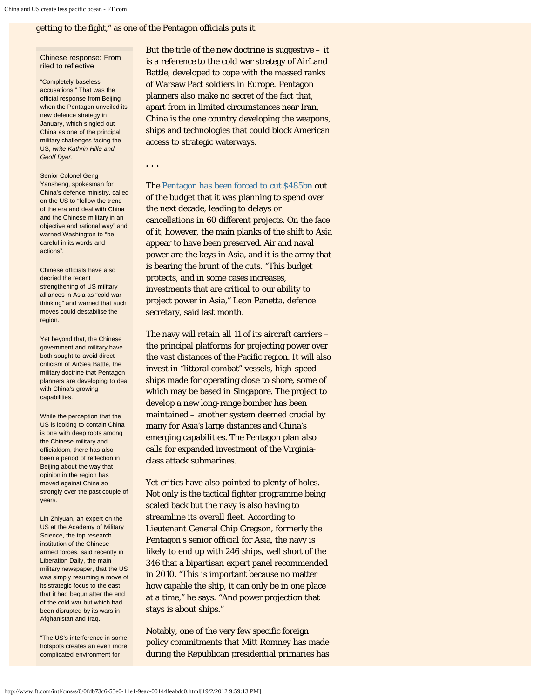getting to the fight," as one of the Pentagon officials puts it.

## Chinese response: From riled to reflective

"Completely baseless accusations." That was the official response from Beijing when the Pentagon unveiled its new defence strategy in January, which singled out China as one of the principal military challenges facing the US, *write Kathrin Hille and Geoff Dyer*.

Senior Colonel Geng Yansheng, spokesman for China's defence ministry, called on the US to "follow the trend of the era and deal with China and the Chinese military in an objective and rational way" and warned Washington to "be careful in its words and actions".

Chinese officials have also decried the recent strengthening of US military alliances in Asia as "cold war thinking" and warned that such moves could destabilise the region.

Yet beyond that, the Chinese government and military have both sought to avoid direct criticism of AirSea Battle, the military doctrine that Pentagon planners are developing to deal with China's growing capabilities.

While the perception that the US is looking to contain China is one with deep roots among the Chinese military and officialdom, there has also been a period of reflection in Beijing about the way that opinion in the region has moved against China so strongly over the past couple of years.

Lin Zhiyuan, an expert on the US at the Academy of Military Science, the top research institution of the Chinese armed forces, said recently in Liberation Daily, the main military newspaper, that the US was simply resuming a move of its strategic focus to the east that it had begun after the end of the cold war but which had been disrupted by its wars in Afghanistan and Iraq.

"The US's interference in some hotspots creates an even more complicated environment for

But the title of the new doctrine is suggestive  $-$  it is a reference to the cold war strategy of AirLand Battle, developed to cope with the massed ranks of Warsaw Pact soldiers in Europe. Pentagon planners also make no secret of the fact that, apart from in limited circumstances near Iran, China is the one country developing the weapons, ships and technologies that could block American access to strategic waterways.

## **. . .**

The [Pentagon has been forced to cut \\$485bn](http://www.ft.com/cms/s/0/eedfdbce-4865-11e1-941c-00144feabdc0.html) out of the budget that it was planning to spend over the next decade, leading to delays or cancellations in 60 different projects. On the face of it, however, the main planks of the shift to Asia appear to have been preserved. Air and naval power are the keys in Asia, and it is the army that is bearing the brunt of the cuts. "This budget protects, and in some cases increases, investments that are critical to our ability to project power in Asia," Leon Panetta, defence secretary, said last month.

The navy will retain all 11 of its aircraft carriers – the principal platforms for projecting power over the vast distances of the Pacific region. It will also invest in "littoral combat" vessels, high-speed ships made for operating close to shore, some of which may be based in Singapore. The project to develop a new long-range bomber has been maintained – another system deemed crucial by many for Asia's large distances and China's emerging capabilities. The Pentagon plan also calls for expanded investment of the Virginiaclass attack submarines.

Yet critics have also pointed to plenty of holes. Not only is the tactical fighter programme being scaled back but the navy is also having to streamline its overall fleet. According to Lieutenant General Chip Gregson, formerly the Pentagon's senior official for Asia, the navy is likely to end up with 246 ships, well short of the 346 that a bipartisan expert panel recommended in 2010. "This is important because no matter how capable the ship, it can only be in one place at a time," he says. "And power projection that stays is about ships."

Notably, one of the very few specific foreign policy commitments that Mitt Romney has made during the Republican presidential primaries has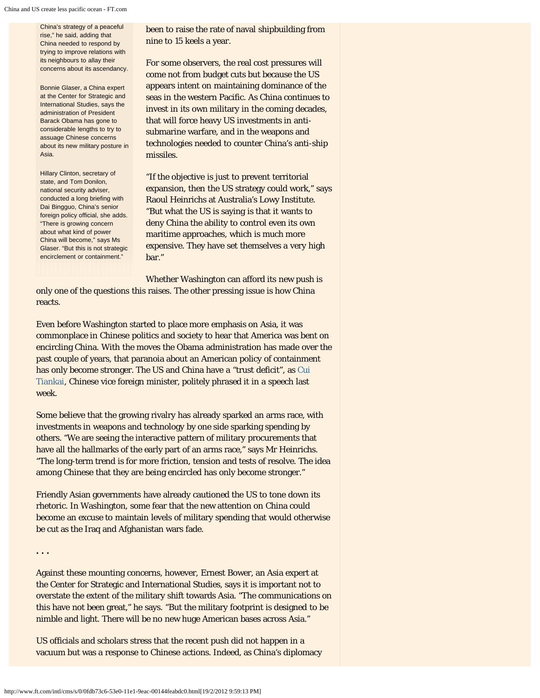China's strategy of a peaceful rise," he said, adding that China needed to respond by trying to improve relations with its neighbours to allay their concerns about its ascendancy.

Bonnie Glaser, a China expert at the Center for Strategic and International Studies, says the administration of President Barack Obama has gone to considerable lengths to try to assuage Chinese concerns about its new military posture in Asia.

Hillary Clinton, secretary of state, and Tom Donilon, national security adviser, conducted a long briefing with Dai Bingguo, China's senior foreign policy official, she adds. "There is growing concern about what kind of power China will become," says Ms Glaser. "But this is not strategic encirclement or containment."

been to raise the rate of naval shipbuilding from nine to 15 keels a year.

For some observers, the real cost pressures will come not from budget cuts but because the US appears intent on maintaining dominance of the seas in the western Pacific. As China continues to invest in its own military in the coming decades, that will force heavy US investments in antisubmarine warfare, and in the weapons and technologies needed to counter China's anti-ship missiles.

"If the objective is just to prevent territorial expansion, then the US strategy could work," says Raoul Heinrichs at Australia's Lowy Institute. "But what the US is saying is that it wants to deny China the ability to control even its own maritime approaches, which is much more expensive. They have set themselves a very high bar."

Whether Washington can afford its new push is only one of the questions this raises. The other pressing issue is how China reacts.

Even before Washington started to place more emphasis on Asia, it was commonplace in Chinese politics and society to hear that America was bent on encircling China. With the moves the Obama administration has made over the past couple of years, that paranoia about an American policy of containment has only become stronger. The US and China have a "trust deficit", as [Cui](http://dk.china-embassy.org/eng/TourChina/t902453.htm) [Tiankai,](http://dk.china-embassy.org/eng/TourChina/t902453.htm) Chinese vice foreign minister, politely phrased it in a speech last week.

Some believe that the growing rivalry has already sparked an arms race, with investments in weapons and technology by one side sparking spending by others. "We are seeing the interactive pattern of military procurements that have all the hallmarks of the early part of an arms race," says Mr Heinrichs. "The long-term trend is for more friction, tension and tests of resolve. The idea among Chinese that they are being encircled has only become stronger."

Friendly Asian governments have already cautioned the US to tone down its rhetoric. In Washington, some fear that the new attention on China could become an excuse to maintain levels of military spending that would otherwise be cut as the Iraq and Afghanistan wars fade.

**. . .**

Against these mounting concerns, however, Ernest Bower, an Asia expert at the Center for Strategic and International Studies, says it is important not to overstate the extent of the military shift towards Asia. "The communications on this have not been great," he says. "But the military footprint is designed to be nimble and light. There will be no new huge American bases across Asia."

US officials and scholars stress that the recent push did not happen in a vacuum but was a response to Chinese actions. Indeed, as China's diplomacy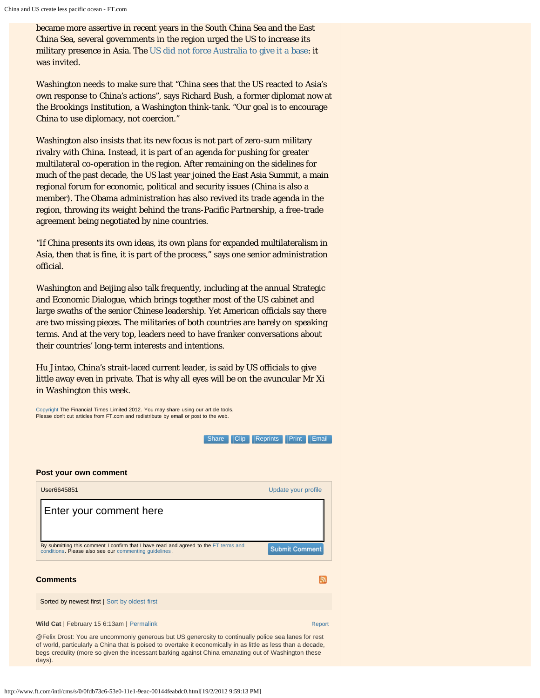became more assertive in recent years in the South China Sea and the East China Sea, several governments in the region urged the US to increase its military presence in Asia. The [US did not force Australia to give it a base](http://www.ft.com/intl/cms/s/0/3ddd6756-102a-11e1-8211-00144feabdc0.html): it was invited.

Washington needs to make sure that "China sees that the US reacted to Asia's own response to China's actions", says Richard Bush, a former diplomat now at the Brookings Institution, a Washington think-tank. "Our goal is to encourage China to use diplomacy, not coercion."

Washington also insists that its new focus is not part of zero-sum military rivalry with China. Instead, it is part of an agenda for pushing for greater multilateral co-operation in the region. After remaining on the sidelines for much of the past decade, the US last year joined the East Asia Summit, a main regional forum for economic, political and security issues (China is also a member). The Obama administration has also revived its trade agenda in the region, throwing its weight behind the trans-Pacific Partnership, a free-trade agreement being negotiated by nine countries.

"If China presents its own ideas, its own plans for expanded multilateralism in Asia, then that is fine, it is part of the process," says one senior administration official.

Washington and Beijing also talk frequently, including at the annual Strategic and Economic Dialogue, which brings together most of the US cabinet and large swaths of the senior Chinese leadership. Yet American officials say there are two missing pieces. The militaries of both countries are barely on speaking terms. And at the very top, leaders need to have franker conversations about their countries' long-term interests and intentions.

Hu Jintao, China's strait-laced current leader, is said by US officials to give little away even in private. That is why all eyes will be on the avuncular Mr Xi in Washington this week.

[Copyright](http://www.ft.com/servicestools/help/copyright) The Financial Times Limited 2012. You may share using our article tools. Please don't cut articles from FT.com and redistribute by email or post to the web. Share [Clip](http://clippings.ft.com/clipthis/?url=http%3A%2F%2Fwww.ft.com%2Fcms%2Fs%2F0%2F0fdb73c6-53e0-11e1-9eac-00144feabdc0.html&title=China+and+US+create+less+pacific+ocean¬e=The+naval+build-up+by+Beijing+and+a+Pentagon+shift+in+seaborne+firepower+towards+Asia+are+creating+an+arena+for+rivalries%2C+writes+Geoff+Dyer&datepublished=2012-02-12+19%3A16%3A33&images=http%3A%2F%2Fim.media.ft.com%2Fcontent%2Fimages%2Fdd8fe7d0-55b5-11e1-9d95-00144feabdc0.img%2C) [Reprints](http://storytools.ft.com/storyTools/reprintOrRepublish.html?uuid=0fdb73c6-53e0-11e1-9eac-00144feabdc0) [Print](#page-0-0) [Email](#page-0-0) **Post your own comment** User6645851 [Update your profile](javascript:void(0)) Enter your comment hereBy submitting this comment I confirm that I have read and agreed to the [FT terms and](http://www.ft.com/servicestools/help/terms) [conditions](http://www.ft.com/servicestools/help/terms). Please also see our [commenting guidelines.](http://www.ft.com/servicestools/help/comments-policy) **Submit Comment Comments** ה Sorted by newest first | [Sort by oldest first](javascript:void(0)) **Wild Cat** | February 15 6:13am | [Permalink](http://www.ft.com/cms/s/0/0fdb73c6-53e0-11e1-9eac-00144feabdc0.html#comment-1828946) [Report](javascript:void(0)) Report Report Report Report Report Report Report Report Report Report Report Report Report Report Report Report Report Report Report Report Report Report Report Report Rep @Felix Drost: You are uncommonly generous but US generosity to continually police sea lanes for rest of world, particularly a China that is poised to overtake it economically in as little as less than a decade,

begs credulity (more so given the incessant barking against China emanating out of Washington these

days)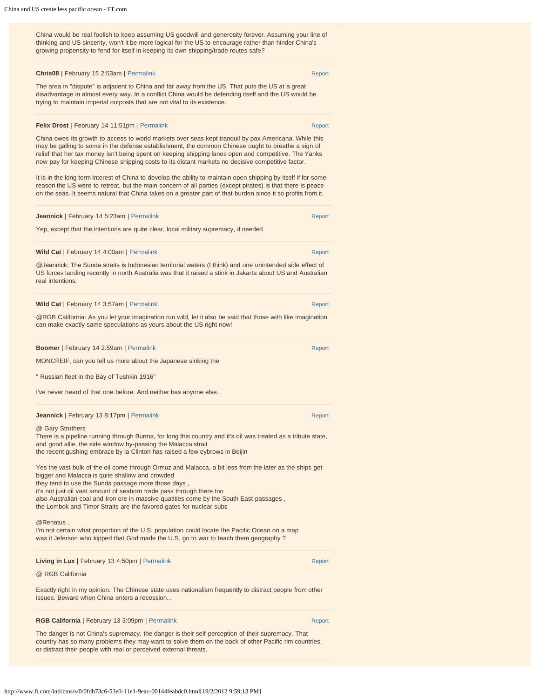China would be real foolish to keep assuming US goodwill and generosity forever. Assuming your line of thinking and US sincerity, won't it be more logical for the US to encourage rather than hinder China's growing propensity to fend for itself in keeping its own shipping/trade routes safe?

#### **Chris08** | February 15 2:53am | [Permalink](http://www.ft.com/cms/s/0/0fdb73c6-53e0-11e1-9eac-00144feabdc0.html#comment-1828606) [Report](javascript:void(0)) Report Report Report Report Report Report

The area in "dispute" is adjacent to China and far away from the US. That puts the US at a great disadvantage in almost every way. In a conflict China would be defending itself and the US would be trying to maintain imperial outposts that are not vital to its existence.

## **Felix Drost** | February 14 11:51pm | [Permalink](http://www.ft.com/cms/s/0/0fdb73c6-53e0-11e1-9eac-00144feabdc0.html#comment-1828226) [Report](javascript:void(0)) Report Report Report Report

China owes its growth to access to world markets over seas kept tranquil by pax Americana. While this may be galling to some in the defense establishment, the common Chinese ought to breathe a sign of relief that her tax money isn't being spent on keeping shipping lanes open and competitive. The Yanks now pay for keeping Chinese shipping costs to its distant markets no decisive competitive factor.

It is in the long term interest of China to develop the ability to maintain open shipping by itself if for some reason the US were to retreat, but the main concern of all parties (except pirates) is that there is peace on the seas. It seems natural that China takes on a greater part of that burden since it so profits from it.

| <b>Jeannick</b>   February 14 5:23am   Permalink                                     | Report |
|--------------------------------------------------------------------------------------|--------|
| Yep, except that the intentions are quite clear, local military supremacy, if needed |        |

**Wild Cat** | February 14 4:00am | [Permalink](http://www.ft.com/cms/s/0/0fdb73c6-53e0-11e1-9eac-00144feabdc0.html#comment-1822811) [Report](javascript:void(0)) Report Report Report Report Report Report Report Report Report @Jeannick: The Sunda straits is Indonesian territorial waters (I think) and one unintended side effect of US forces landing recently in north Australia was that it raised a stink in Jakarta about US and Australian real intentions.

| Wild Cat   February 14 3:57am   Permalink | Report |
|-------------------------------------------|--------|
|                                           |        |

@RGB California: As you let your imagination run wild, let it also be said that those with like imagination can make exactly same speculations as yours about the US right now!

**Boomer** | February 14 2:59am | [Permalink](http://www.ft.com/cms/s/0/0fdb73c6-53e0-11e1-9eac-00144feabdc0.html#comment-1822736) [Report](javascript:void(0)) Report Report Report Report Report MONCREIF, can you tell us more about the Japanese sinking the " Russian fleet in the Bay of Tushkin 1916" I've never heard of that one before. And neither has anyone else. **Jeannick | February 13 8:17pm | [Permalink](http://www.ft.com/cms/s/0/0fdb73c6-53e0-11e1-9eac-00144feabdc0.html#comment-1821506) [Report](javascript:void(0)) Report Report Report Report Report** @ Gary Struthers There is a pipeline running through Burma, for long this country and it's oil was treated as a tribute state, and good allie, the side window by-passing the Malacca strait the recent gushing embrace by la Clinton has raised a few eybrows in Beijin Yes the vast bulk of the oil come through Ormuz and Malacca, a bit less from the later as the ships get

bigger and Malacca is quite shallow and crowded they tend to use the Sunda passage more those days , it's not just oil vast amount of seaborn trade pass through there too also Australian coal and Iron ore in massive quatities come by the South East passages , the Lombok and Timor Straits are the favored gates for nuclear subs

#### @Renatus

I'm not certain what proportion of the U.S. population could locate the Pacific Ocean on a map was it Jeferson who kipped that God made the U.S. go to war to teach them geography ?

# **Living in Lux** | February 13 4:50pm | [Permalink](http://www.ft.com/cms/s/0/0fdb73c6-53e0-11e1-9eac-00144feabdc0.html#comment-1820851) [Report](javascript:void(0)) Report Report Report Report

## @ RGB California

Exactly right in my opinion. The Chinese state uses nationalism frequently to distract people from other issues. Beware when China enters a recession...

## **RGB California** | February 13 3:09pm | [Permalink](http://www.ft.com/cms/s/0/0fdb73c6-53e0-11e1-9eac-00144feabdc0.html#comment-1820466) [Report](javascript:void(0)) Report Report

The danger is not China's supremacy, the danger is their self-perception of their supremacy. That country has so many problems they may want to solve them on the back of other Pacific rim countries, or distract their people with real or perceived external threats.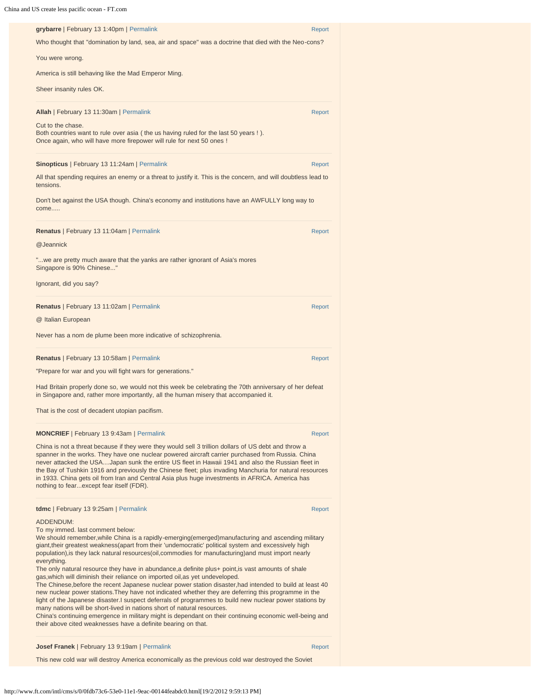| grybarre   February 13 1:40pm   Permalink                                                                                                                                                                                                                                                                                                                                                                                                                                                                                                                                                                                                                                                                                                                                                                                                                                                                                                                                                                                                                                                                                                                                 | Report |
|---------------------------------------------------------------------------------------------------------------------------------------------------------------------------------------------------------------------------------------------------------------------------------------------------------------------------------------------------------------------------------------------------------------------------------------------------------------------------------------------------------------------------------------------------------------------------------------------------------------------------------------------------------------------------------------------------------------------------------------------------------------------------------------------------------------------------------------------------------------------------------------------------------------------------------------------------------------------------------------------------------------------------------------------------------------------------------------------------------------------------------------------------------------------------|--------|
| Who thought that "domination by land, sea, air and space" was a doctrine that died with the Neo-cons?                                                                                                                                                                                                                                                                                                                                                                                                                                                                                                                                                                                                                                                                                                                                                                                                                                                                                                                                                                                                                                                                     |        |
| You were wrong.                                                                                                                                                                                                                                                                                                                                                                                                                                                                                                                                                                                                                                                                                                                                                                                                                                                                                                                                                                                                                                                                                                                                                           |        |
| America is still behaving like the Mad Emperor Ming.                                                                                                                                                                                                                                                                                                                                                                                                                                                                                                                                                                                                                                                                                                                                                                                                                                                                                                                                                                                                                                                                                                                      |        |
| Sheer insanity rules OK.                                                                                                                                                                                                                                                                                                                                                                                                                                                                                                                                                                                                                                                                                                                                                                                                                                                                                                                                                                                                                                                                                                                                                  |        |
| Allah   February 13 11:30am   Permalink                                                                                                                                                                                                                                                                                                                                                                                                                                                                                                                                                                                                                                                                                                                                                                                                                                                                                                                                                                                                                                                                                                                                   | Report |
| Cut to the chase.<br>Both countries want to rule over asia (the us having ruled for the last 50 years !).<br>Once again, who will have more firepower will rule for next 50 ones !                                                                                                                                                                                                                                                                                                                                                                                                                                                                                                                                                                                                                                                                                                                                                                                                                                                                                                                                                                                        |        |
| Sinopticus   February 13 11:24am   Permalink                                                                                                                                                                                                                                                                                                                                                                                                                                                                                                                                                                                                                                                                                                                                                                                                                                                                                                                                                                                                                                                                                                                              | Report |
| All that spending requires an enemy or a threat to justify it. This is the concern, and will doubtless lead to<br>tensions.                                                                                                                                                                                                                                                                                                                                                                                                                                                                                                                                                                                                                                                                                                                                                                                                                                                                                                                                                                                                                                               |        |
| Don't bet against the USA though. China's economy and institutions have an AWFULLY long way to<br>come                                                                                                                                                                                                                                                                                                                                                                                                                                                                                                                                                                                                                                                                                                                                                                                                                                                                                                                                                                                                                                                                    |        |
| Renatus   February 13 11:04am   Permalink                                                                                                                                                                                                                                                                                                                                                                                                                                                                                                                                                                                                                                                                                                                                                                                                                                                                                                                                                                                                                                                                                                                                 | Report |
| @Jeannick                                                                                                                                                                                                                                                                                                                                                                                                                                                                                                                                                                                                                                                                                                                                                                                                                                                                                                                                                                                                                                                                                                                                                                 |        |
| "we are pretty much aware that the yanks are rather ignorant of Asia's mores<br>Singapore is 90% Chinese"                                                                                                                                                                                                                                                                                                                                                                                                                                                                                                                                                                                                                                                                                                                                                                                                                                                                                                                                                                                                                                                                 |        |
| Ignorant, did you say?                                                                                                                                                                                                                                                                                                                                                                                                                                                                                                                                                                                                                                                                                                                                                                                                                                                                                                                                                                                                                                                                                                                                                    |        |
| Renatus   February 13 11:02am   Permalink                                                                                                                                                                                                                                                                                                                                                                                                                                                                                                                                                                                                                                                                                                                                                                                                                                                                                                                                                                                                                                                                                                                                 | Report |
| @ Italian European                                                                                                                                                                                                                                                                                                                                                                                                                                                                                                                                                                                                                                                                                                                                                                                                                                                                                                                                                                                                                                                                                                                                                        |        |
| Never has a nom de plume been more indicative of schizophrenia.                                                                                                                                                                                                                                                                                                                                                                                                                                                                                                                                                                                                                                                                                                                                                                                                                                                                                                                                                                                                                                                                                                           |        |
| Renatus   February 13 10:58am   Permalink                                                                                                                                                                                                                                                                                                                                                                                                                                                                                                                                                                                                                                                                                                                                                                                                                                                                                                                                                                                                                                                                                                                                 | Report |
| "Prepare for war and you will fight wars for generations."                                                                                                                                                                                                                                                                                                                                                                                                                                                                                                                                                                                                                                                                                                                                                                                                                                                                                                                                                                                                                                                                                                                |        |
| Had Britain properly done so, we would not this week be celebrating the 70th anniversary of her defeat<br>in Singapore and, rather more importantly, all the human misery that accompanied it.                                                                                                                                                                                                                                                                                                                                                                                                                                                                                                                                                                                                                                                                                                                                                                                                                                                                                                                                                                            |        |
| That is the cost of decadent utopian pacifism.                                                                                                                                                                                                                                                                                                                                                                                                                                                                                                                                                                                                                                                                                                                                                                                                                                                                                                                                                                                                                                                                                                                            |        |
| <b>MONCRIEF</b>   February 13 9:43am   Permalink                                                                                                                                                                                                                                                                                                                                                                                                                                                                                                                                                                                                                                                                                                                                                                                                                                                                                                                                                                                                                                                                                                                          | Report |
| China is not a threat because if they were they would sell 3 trillion dollars of US debt and throw a<br>spanner in the works. They have one nuclear powered aircraft carrier purchased from Russia. China<br>never attacked the USAJapan sunk the entire US fleet in Hawaii 1941 and also the Russian fleet in<br>the Bay of Tushkin 1916 and previously the Chinese fleet; plus invading Manchuria for natural resources<br>in 1933. China gets oil from Iran and Central Asia plus huge investments in AFRICA. America has<br>nothing to fearexcept fear itself (FDR).                                                                                                                                                                                                                                                                                                                                                                                                                                                                                                                                                                                                  |        |
| tdmc   February 13 9:25am   Permalink                                                                                                                                                                                                                                                                                                                                                                                                                                                                                                                                                                                                                                                                                                                                                                                                                                                                                                                                                                                                                                                                                                                                     | Report |
| <b>ADDENDUM:</b><br>To my immed. last comment below:<br>We should remember, while China is a rapidly-emerging(emerged)manufacturing and ascending military<br>giant, their greatest weakness (apart from their 'undemocratic' political system and excessively high<br>population), is they lack natural resources (oil, commodies for manufacturing) and must import nearly<br>everything.<br>The only natural resource they have in abundance, a definite plus+ point, is vast amounts of shale<br>gas, which will diminish their reliance on imported oil, as yet undeveloped.<br>The Chinese, before the recent Japanese nuclear power station disaster, had intended to build at least 40<br>new nuclear power stations. They have not indicated whether they are deferring this programme in the<br>light of the Japanese disaster. I suspect deferrals of programmes to build new nuclear power stations by<br>many nations will be short-lived in nations short of natural resources.<br>China's continuing emergence in military might is dependant on their continuing economic well-being and<br>their above cited weaknesses have a definite bearing on that. |        |
| Josef Franek   February 13 9:19am   Permalink                                                                                                                                                                                                                                                                                                                                                                                                                                                                                                                                                                                                                                                                                                                                                                                                                                                                                                                                                                                                                                                                                                                             | Report |
| This new cold war will destroy America economically as the previous cold war destroyed the Soviet                                                                                                                                                                                                                                                                                                                                                                                                                                                                                                                                                                                                                                                                                                                                                                                                                                                                                                                                                                                                                                                                         |        |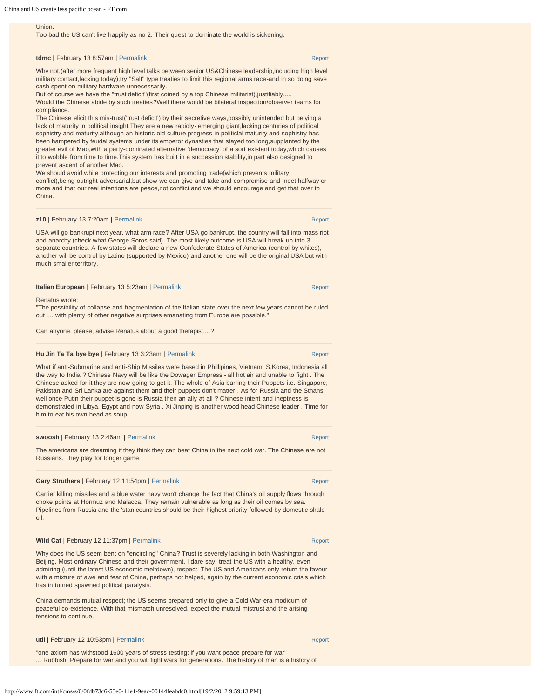#### Union.

Too bad the US can't live happily as no 2. Their quest to dominate the world is sickening.

## **tdmc** | February 13 8:57am | [Permalink](http://www.ft.com/cms/s/0/0fdb73c6-53e0-11e1-9eac-00144feabdc0.html#comment-1818481) [Report](javascript:void(0)) Report Report Report Report Report Report Report Report Report Report

Why not,(after more frequent high level talks between senior US&Chinese leadership,including high level military contact,lacking today),try ''Salt'' type treaties to limit this regional arms race-and in so doing save cash spent on military hardware unnecessarily.

But of course we have the "trust deficit"(first coined by a top Chinese militarist),justifiably....

Would the Chinese abide by such treaties?Well there would be bilateral inspection/observer teams for compliance.

The Chinese elicit this mis-trust('trust deficit') by their secretive ways,possibly unintended but belying a lack of maturity in political insight.They are a new rapidly- emerging giant,lacking centuries of political sophistry and maturity,although an historic old culture, progress in politiclal maturity and sophistry has been hampered by feudal systems under its emperor dynasties that stayed too long,supplanted by the greater evil of Mao,with a party-dominated alternative 'democracy' of a sort existant today,which causes it to wobble from time to time.This system has built in a succession stability,in part also designed to prevent ascent of another Mao.

We should avoid,while protecting our interests and promoting trade(which prevents military conflict),being outright adversarial,but show we can give and take and compromise and meet halfway or more and that our real intentions are peace,not conflict,and we should encourage and get that over to China.

#### **z10** | February 13 7:20am | [Permalink](http://www.ft.com/cms/s/0/0fdb73c6-53e0-11e1-9eac-00144feabdc0.html#comment-1818196) [Report](javascript:void(0))

USA will go bankrupt next year, what arm race? After USA go bankrupt, the country will fall into mass riot and anarchy (check what George Soros said). The most likely outcome is USA will break up into 3 separate countries. A few states will declare a new Confederate States of America (control by whites), another will be control by Latino (supported by Mexico) and another one will be the original USA but with much smaller territory.

| <b>Italian European</b>   February 13 5:23am   Permalink | Report |
|----------------------------------------------------------|--------|
|                                                          |        |

Renatus wrote:

"The possibility of collapse and fragmentation of the Italian state over the next few years cannot be ruled out .... with plenty of other negative surprises emanating from Europe are possible.'

Can anyone, please, advise Renatus about a good therapist....?

## **Hu Jin Ta Ta bye bye** | February 13 3:23am | [Permalink](http://www.ft.com/cms/s/0/0fdb73c6-53e0-11e1-9eac-00144feabdc0.html#comment-1817816) [Report](javascript:void(0)) Report Report

What if anti-Submarine and anti-Ship Missiles were based in Phillipines, Vietnam, S.Korea, Indonesia all the way to India ? Chinese Navy will be like the Dowager Empress - all hot air and unable to fight . The Chinese asked for it they are now going to get it, The whole of Asia barring their Puppets i.e. Singapore, Pakistan and Sri Lanka are against them and their puppets don't matter . As for Russia and the Sthans, well once Putin their puppet is gone is Russia then an ally at all ? Chinese intent and ineptness is demonstrated in Libya, Egypt and now Syria . Xi Jinping is another wood head Chinese leader . Time for him to eat his own head as soup .

#### **swoosh | February 13 2:46am | [Permalink](http://www.ft.com/cms/s/0/0fdb73c6-53e0-11e1-9eac-00144feabdc0.html#comment-1817731) [Report](javascript:void(0)) Report Report Report Report Report**

The americans are dreaming if they think they can beat China in the next cold war. The Chinese are not Russians. They play for longer game.

#### **Gary Struthers** | February 12 11:54pm | [Permalink](http://www.ft.com/cms/s/0/0fdb73c6-53e0-11e1-9eac-00144feabdc0.html#comment-1817351) [Report](javascript:void(0)) Report Report Report Report

Carrier killing missiles and a blue water navy won't change the fact that China's oil supply flows through choke points at Hormuz and Malacca. They remain vulnerable as long as their oil comes by sea. Pipelines from Russia and the 'stan countries should be their highest priority followed by domestic shale oil.

#### **Wild Cat** | February 12 11:37pm | [Permalink](http://www.ft.com/cms/s/0/0fdb73c6-53e0-11e1-9eac-00144feabdc0.html#comment-1817276) [Report](javascript:void(0)) Report Report Report Report Report Report Report Report Report

Why does the US seem bent on "encircling" China? Trust is severely lacking in both Washington and Beijing. Most ordinary Chinese and their government, I dare say, treat the US with a healthy, even admiring (until the latest US economic meltdown), respect. The US and Americans only return the favour with a mixture of awe and fear of China, perhaps not helped, again by the current economic crisis which has in turned spawned political paralysis.

China demands mutual respect; the US seems prepared only to give a Cold War-era modicum of peaceful co-existence. With that mismatch unresolved, expect the mutual mistrust and the arising tensions to continue.

| util   February 12 10:53pm   Permalink | Report |
|----------------------------------------|--------|
|----------------------------------------|--------|

"one axiom has withstood 1600 years of stress testing: if you want peace prepare for war" ... Rubbish. Prepare for war and you will fight wars for generations. The history of man is a history of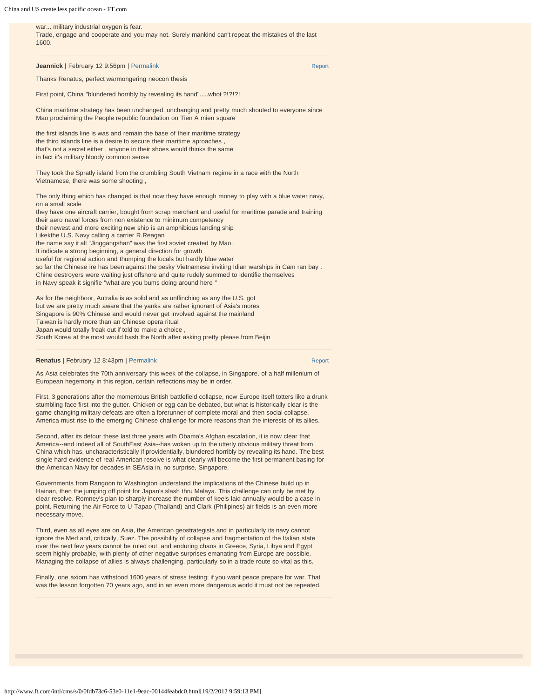# war... military industrial oxygen is fear. Trade, engage and cooperate and you may not. Surely mankind can't repeat the mistakes of the last 1600. **Jeannick** | February 12 9:56pm | [Permalink](http://www.ft.com/cms/s/0/0fdb73c6-53e0-11e1-9eac-00144feabdc0.html#comment-1816986) [Report](javascript:void(0)) Report Report Report Report Report Thanks Renatus, perfect warmongering neocon thesis First point, China "blundered horribly by revealing its hand".....whot ?!?!?! China maritime strategy has been unchanged, unchanging and pretty much shouted to everyone since Mao proclaiming the People republic foundation on Tien A mien square the first islands line is was and remain the base of their maritime strategy the third islands line is a desire to secure their maritime aproaches , that's not a secret either , anyone in their shoes would thinks the same in fact it's military bloody common sense They took the Spratly island from the crumbling South Vietnam regime in a race with the North Vietnamese, there was some shooting , The only thing which has changed is that now they have enough money to play with a blue water navy, on a small scale they have one aircraft carrier, bought from scrap merchant and useful for maritime parade and training their aero naval forces from non existence to minimum competency their newest and more exciting new ship is an amphibious landing ship Likekthe U.S. Navy calling a carrier R.Reagan the name say it all "Jinggangshan" was the first soviet created by Mao , It indicate a strong beginning, a general direction for growth useful for regional action and thumping the locals but hardly blue water so far the Chinese ire has been against the pesky Vietnamese inviting Idian warships in Cam ran bay . Chine destroyers were waiting just offshore and quite rudely summed to identifie themselves in Navy speak it signifie "what are you bums doing around here " As for the neighboor, Autralia is as solid and as unflinching as any the U.S. got but we are pretty much aware that the yanks are rather ignorant of Asia's mores Singapore is 90% Chinese and would never get involved against the mainland Taiwan is hardly more than an Chinese opera ritual Japan would totally freak out if told to make a choice , South Korea at the most would bash the North after asking pretty please from Beijin **Renatus** | February 12 8:43pm | [Permalink](http://www.ft.com/cms/s/0/0fdb73c6-53e0-11e1-9eac-00144feabdc0.html#comment-1816776) [Report](javascript:void(0)) Report Report Report Report Report Report Report Report Report As Asia celebrates the 70th anniversary this week of the collapse, in Singapore, of a half millenium of European hegemony in this region, certain reflections may be in order. First, 3 generations after the momentous British battlefield collapse, now Europe itself totters like a drunk stumbling face first into the gutter. Chicken or egg can be debated, but what is historically clear is the game changing military defeats are often a forerunner of complete moral and then social collapse. America must rise to the emerging Chinese challenge for more reasons than the interests of its allies.

Second, after its detour these last three years with Obama's Afghan escalation, it is now clear that America--and indeed all of SouthEast Asia--has woken up to the utterly obvious military threat from China which has, uncharacteristically if providentially, blundered horribly by revealing its hand. The best single hard evidence of real American resolve is what clearly will become the first permanent basing for the American Navy for decades in SEAsia in, no surprise, Singapore.

Governments from Rangoon to Washington understand the implications of the Chinese build up in Hainan, then the jumping off point for Japan's slash thru Malaya. This challenge can only be met by clear resolve. Romney's plan to sharply increase the number of keels laid annually would be a case in point. Returning the Air Force to U-Tapao (Thailand) and Clark (Philipines) air fields is an even more necessary move.

Third, even as all eyes are on Asia, the American geostrategists and in particularly its navy cannot ignore the Med and, critically, Suez. The possibility of collapse and fragmentation of the Italian state over the next few years cannot be ruled out, and enduring chaos in Greece, Syria, Libya and Egypt seem highly probable, with plenty of other negative surprises emanating from Europe are possible. Managing the collapse of allies is always challenging, particularly so in a trade route so vital as this.

Finally, one axiom has withstood 1600 years of stress testing: if you want peace prepare for war. That was the lesson forgotten 70 years ago, and in an even more dangerous world it must not be repeated.